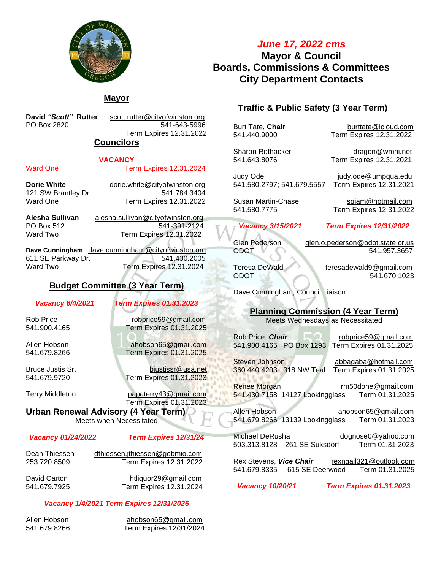

# *June 17, 2022 cms* **Mayor & Council Boards, Commissions & Committees City Department Contacts**

# **Mayor**

**David** *"Scott"* **Rutter** [scott.rutter@cityofwinston.org](mailto:scott.rutter@cityofwinston.org) PO Box 2820 541-643-5996 Term Expires 12.31.2022

### **Councilors**

### **VACANCY**

#### Ward One Term Expires 12.31.2024

**Dorie White** dorie.white@cityofwinston.org 121 SW Brantley Dr. 541.784.3404 Ward One Term Expires 12.31.2022

**Alesha Sullivan** [alesha.sullivan@cityofwinston.org](mailto:alesha.sullivan@cityofwinston.org) PO Box 512 541-391-2124 Ward Two **Term Expires 12.31.2022** 

**Dave Cunningham** [dave.cunningham@cityofwinston.org](mailto:dave.cunningham@cityofwinston.org) 611 SE Parkway Dr. 541.430.2005 Ward Two **Term Expires 12.31.2024** 

# **Budget Committee (3 Year Term)**

*Vacancy 6/4/2021 Term Expires 01.31.2023*

Rob Price [robprice59@gmail.com](mailto:robprice59@gmail.com) 541.900.4165 Term Expires 01.31.2025

Allen Hobson [ahobson65@gmail.com](mailto:ahobson65@gmail.com) Term Expires 01.31.2025

Bruce Justis Sr. [bjustissr@usa.net](mailto:bjustissr@usa.net) 541.679.9720 Term Expires 01.31.2023

Terry Middleton [papaterry43@gmail.com](mailto:papaterry43@gmail.com) Term Expires 01.31.2023

**Urban Renewal Advisory (4 Year Term)**

Meets when Necessitated

#### *Vacancy 01/24/2022 Term Expires 12/31/24*

Dean Thiessen [dthiessen.jthiessen@gobmio.com](mailto:dthiessen.jthiessen@gobmio.com) 253.720.8509 Term Expires 12.31.2022

David Carton [htliquor29@gmail.com](mailto:htliquor29@gmail.com) 541.679.7925 Term Expires 12.31.2024

### *Vacancy 1/4/2021 Term Expires 12/31/2026*

Allen Hobson ahobson65@gmail.com 541.679.8266 Term Expires 12/31/2024

# **Traffic & Public Safety (3 Year Term)**

Burt Tate, **Chair** [burttate@icloud.com](mailto:burttate@icloud.com) 541.440.9000 Term Expires 12.31.2022

Sharon Rothacker [dragon@wmni.net](mailto:dragon@wmni.net) 541.643.8076 Term Expires 12.31.2021

Judy Ode [judy.ode@umpqua.edu](mailto:judy.ode@umpqua.edu) 541.580.2797; 541.679.5557 Term Expires 12.31.2021

#### *Vacancy 3/15/2021 Term Expires 12/31/2022*

ODOT 841.957.3657

Glen Pederson [glen.o.pederson@odot.state.or.us](mailto:glen.o.pederson@odot.state.or.us)

Teresa DeWald [teresadewald9@gmail.com](mailto:teresadewald9@gmail.com) ODOT 541.670.1023

Dave Cunningham, Council Liaison

# **Planning Commission (4 Year Term)**

Meets Wednesdays as Necessitated

Rob Price, *Chair* **Rob Rob [robprice59@gmail.com](mailto:robprice59@gmail.com)** 541.900.4165 PO Box 1293 Term Expires 01.31.2025

Steven Johnson [abbagaba@hotmail.com](mailto:abbagaba@hotmail.com) 360.440.4203 318 NW Teal Term Expires 01.31.2025

Renee Morgan metal metal metal metal metal metal metal metal metal metal metal metal metal metal metal metal m<br>1.31.2025 register that the state of the 1.31.2025 541.430.7158 14127 Lookingglass

Allen Hobson [ahobson65@gmail.com](mailto:ahobson65@gmail.com)<br>541.679.8266 13139 Lookingglass Term 01.31.2023 541.679.8266 13139 Lookingglass

Michael DeRusha [dognose0@yahoo.com](mailto:dognose0@yahoo.com) 503.313.8128 261 SE Suksdorf Term 01.31.2023

Rex Stevens, *Vice Chair* [rexngail321@outlook.com](mailto:rexngail@msn.com) 541.679.8335 615 SE Deerwood Term 01.31.2025

 *Vacancy 10/20/21 Term Expires 01.31.2023* 

Susan Martin-Chase [sqiam@hotmail.com](mailto:sqiam@hotmail.com) 541.580.7775 Term Expires 12.31.2022